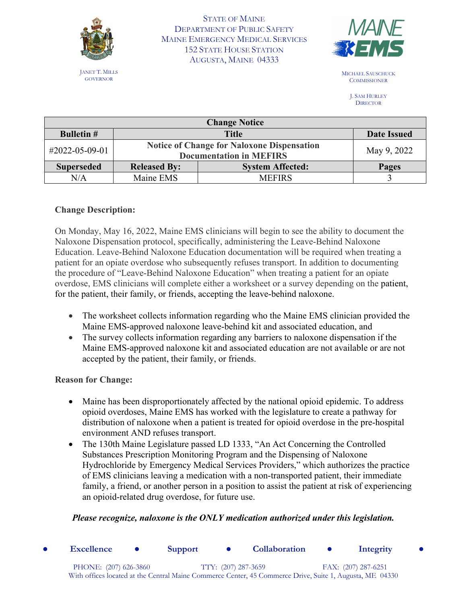

JANET T. MILLS GOVERNOR

STATE OF MAINE DEPARTMENT OF PUBLIC SAFETY MAINE EMERGENCY MEDICAL SERVICES 152 STATE HOUSE STATION AUGUSTA, MAINE 04333



MICHAEL SAUSCHUCK **COMMISSIONER** 

> J. SAM HURLEY **DIRECTOR**

| <b>Change Notice</b> |                                                                                     |                         |                    |  |  |
|----------------------|-------------------------------------------------------------------------------------|-------------------------|--------------------|--|--|
| <b>Bulletin #</b>    | <b>Title</b>                                                                        |                         | <b>Date Issued</b> |  |  |
| #2022-05-09-01       | <b>Notice of Change for Naloxone Dispensation</b><br><b>Documentation in MEFIRS</b> |                         | May 9, 2022        |  |  |
| <b>Superseded</b>    | <b>Released By:</b>                                                                 | <b>System Affected:</b> | Pages              |  |  |
| N/A                  | Maine EMS                                                                           | <b>MEFIRS</b>           |                    |  |  |

## **Change Description:**

On Monday, May 16, 2022, Maine EMS clinicians will begin to see the ability to document the Naloxone Dispensation protocol, specifically, administering the Leave-Behind Naloxone Education. Leave-Behind Naloxone Education documentation will be required when treating a patient for an opiate overdose who subsequently refuses transport. In addition to documenting the procedure of "Leave-Behind Naloxone Education" when treating a patient for an opiate overdose, EMS clinicians will complete either a worksheet or a survey depending on the patient, for the patient, their family, or friends, accepting the leave-behind naloxone.

- The worksheet collects information regarding who the Maine EMS clinician provided the Maine EMS-approved naloxone leave-behind kit and associated education, and
- The survey collects information regarding any barriers to naloxone dispensation if the Maine EMS-approved naloxone kit and associated education are not available or are not accepted by the patient, their family, or friends.

**Reason for Change:**

- Maine has been disproportionately affected by the national opioid epidemic. To address opioid overdoses, Maine EMS has worked with the legislature to create a pathway for distribution of naloxone when a patient is treated for opioid overdose in the pre-hospital environment AND refuses transport.
- The 130th Maine Legislature passed LD 1333, "An Act Concerning the Controlled Substances Prescription Monitoring Program and the Dispensing of Naloxone Hydrochloride by Emergency Medical Services Providers," which authorizes the practice of EMS clinicians leaving a medication with a non-transported patient, their immediate family, a friend, or another person in a position to assist the patient at risk of experiencing an opioid-related drug overdose, for future use.

## *Please recognize, naloxone is the ONLY medication authorized under this legislation.*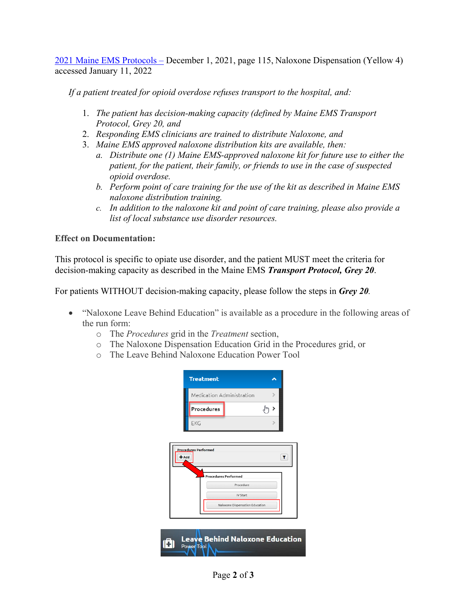[2021 Maine EMS Protocols –](https://www.maine.gov/ems/sites/maine.gov.ems/files/inline-files/Final-2021-Protocol-ALL-compressed.pdf) December 1, 2021, page 115, Naloxone Dispensation (Yellow 4) accessed January 11, 2022

*If a patient treated for opioid overdose refuses transport to the hospital, and:* 

- 1. *The patient has decision-making capacity (defined by Maine EMS Transport Protocol, Grey 20, and*
- 2. *Responding EMS clinicians are trained to distribute Naloxone, and*
- 3. *Maine EMS approved naloxone distribution kits are available, then:* 
	- *a. Distribute one (1) Maine EMS-approved naloxone kit for future use to either the patient, for the patient, their family, or friends to use in the case of suspected opioid overdose.*
	- *b. Perform point of care training for the use of the kit as described in Maine EMS naloxone distribution training.*
	- *c. In addition to the naloxone kit and point of care training, please also provide a list of local substance use disorder resources.*

## **Effect on Documentation:**

This protocol is specific to opiate use disorder, and the patient MUST meet the criteria for decision-making capacity as described in the Maine EMS *Transport Protocol, Grey 20*.

For patients WITHOUT decision-making capacity, please follow the steps in *Grey 20.* 

- "Naloxone Leave Behind Education" is available as a procedure in the following areas of the run form:
	- o The *Procedures* grid in the *Treatment* section,
	- o The Naloxone Dispensation Education Grid in the Procedures grid, or
	- o The Leave Behind Naloxone Education Power Tool

|       | <b>Treatment</b>            |                                        |   |
|-------|-----------------------------|----------------------------------------|---|
|       | Medication Administration   |                                        | ⋗ |
|       | Procedures                  |                                        |   |
|       | EKG                         |                                        |   |
|       |                             |                                        |   |
| · Add | <b>Procedures Performed</b> |                                        | T |
|       | <b>Procedures Performed</b> |                                        |   |
|       |                             | Procedure                              |   |
|       |                             | <b>IV Start</b>                        |   |
|       |                             | Naloxone Dispensation Education        |   |
|       |                             |                                        |   |
|       |                             |                                        |   |
|       |                             |                                        |   |
|       |                             | <b>Leave Behind Naloxone Education</b> |   |